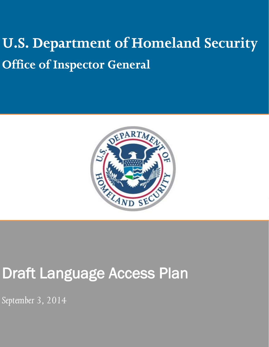# **U.S. Department of Homeland Security Office of Inspector General**



# Draft Language Access Plan

*September 3, 2014*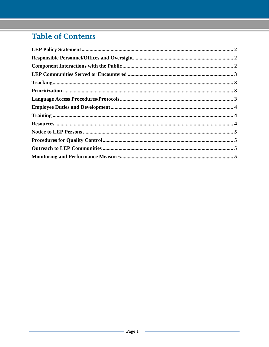# **Table of Contents**

<span id="page-1-0"></span>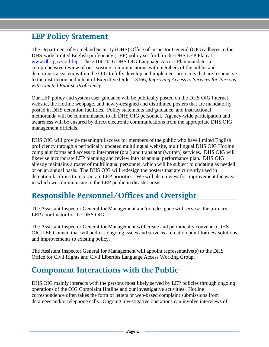#### **LEP Policy Statement**

The Department of Homeland Security (DHS) Office of Inspector General (OIG) adheres to the DHS-wide limited English proficiency (LEP) policy set forth in the DHS LEP Plan at [www.dhs.gov/crcl-lep.](http://www.dhs.gov/crcl-lep) The 2014-2016 DHS OIG Language Access Plan mandates a comprehensive review of our existing communications with members of the public and determines a system within the OIG to fully develop and implement protocols that are responsive to the instruction and intent of Executive Order 13166, *Improving Access to Services for Persons with Limited English Proficiency*.

Our LEP policy and system user guidance will be publically posted on the DHS OIG Internet website, the Hotline webpage, and newly-designed and distributed posters that are mandatorily posted in DHS detention facilities. Policy statements and guidance, and instructional memoranda will be communicated to all DHS OIG personnel. Agency-wide participation and awareness will be ensured by direct electronic communications from the appropriate DHS OIG management officials.

DHS OIG will provide meaningful access for members of the public who have limited English proficiency through a periodically updated multilingual website, multilingual DHS OIG Hotline complaint forms and access to interpreter (oral) and translator (written) services. DHS OIG will likewise incorporate LEP planning and review into its annual performance plan. DHS OIG already maintains a roster of multilingual personnel, which will be subject to updating as needed or on an annual basis. The DHS OIG will redesign the posters that are currently used in detention facilities to incorporate LEP priorities. We will also review for improvement the ways in which we communicate to the LEP public in disaster areas.

#### <span id="page-2-0"></span>**Responsible Personnel/Offices and Oversight**

The Assistant Inspector General for Management and/or a designee will serve as the primary LEP coordinator for the DHS OIG.

The Assistant Inspector General for Management will create and periodically convene a DHS OIG LEP Council that will address ongoing issues and serve as a creation point for new solutions and improvements to existing policy.

The Assistant Inspector General for Management will appoint representative(s) to the DHS Office for Civil Rights and Civil Liberties Language Access Working Group.

#### <span id="page-2-1"></span>**Component Interactions with the Public**

DHS OIG mainly interacts with the persons most likely served by LEP policies through ongoing operations of the OIG Complaint Hotline and our investigative activities. Hotline correspondence often takes the form of letters or web-based complaint submissions from detainees and/or telephone calls. Ongoing investigative operations can involve interviews of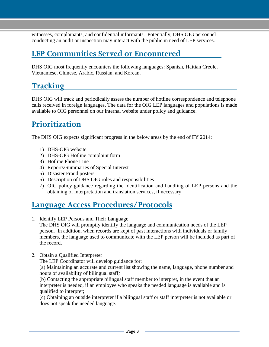witnesses, complainants, and confidential informants. Potentially, DHS OIG personnel conducting an audit or inspection may interact with the public in need of LEP services.

#### <span id="page-3-0"></span>**LEP Communities Served or Encountered**

DHS OIG most frequently encounters the following languages: Spanish, Haitian Creole, Vietnamese, Chinese, Arabic, Russian, and Korean.

#### <span id="page-3-1"></span>**Tracking**

DHS OIG will track and periodically assess the number of hotline correspondence and telephone calls received in foreign languages. The data for the OIG LEP languages and populations is made available to OIG personnel on our internal website under policy and guidance.

#### <span id="page-3-2"></span>**Prioritization**

The DHS OIG expects significant progress in the below areas by the end of FY 2014:

- 1) DHS-OIG website
- 2) DHS-OIG Hotline complaint form
- 3) Hotline Phone Line
- 4) Reports/Summaries of Special Interest
- 5) Disaster Fraud posters
- 6) Description of DHS OIG roles and responsibilities
- 7) OIG policy guidance regarding the identification and handling of LEP persons and the obtaining of interpretation and translation services, if necessary

#### <span id="page-3-3"></span>**Language Access Procedures/Protocols**

- 1. Identify LEP Persons and Their Language The DHS OIG will promptly identify the language and communication needs of the LEP person. In addition, when records are kept of past interactions with individuals or family members, the language used to communicate with the LEP person will be included as part of the record.
- 2. Obtain a Qualified Interpreter

The LEP Coordinator will develop guidance for:

(a) Maintaining an accurate and current list showing the name, language, phone number and hours of availability of bilingual staff*;*

(b) Contacting the appropriate bilingual staff member to interpret, in the event that an interpreter is needed, if an employee who speaks the needed language is available and is qualified to interpret;

(c) Obtaining an outside interpreter if a bilingual staff or staff interpreter is not available or does not speak the needed language.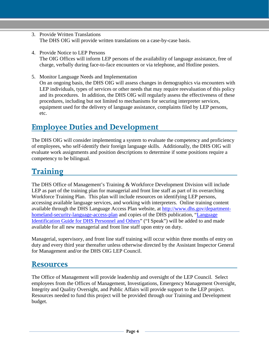- 3. Provide Written Translations The DHS OIG will provide written translations on a case-by-case basis.
- 4. Provide Notice to LEP Persons The OIG Offices will inform LEP persons of the availability of language assistance, free of charge, verbally during face-to-face encounters or via telephone, and Hotline posters.
- 5. Monitor Language Needs and Implementation On an ongoing basis, the DHS OIG will assess changes in demographics via encounters with LEP individuals, types of services or other needs that may require reevaluation of this policy and its procedures. In addition, the DHS OIG will regularly assess the effectiveness of these procedures, including but not limited to mechanisms for securing interpreter services, equipment used for the delivery of language assistance, complaints filed by LEP persons, etc.

#### <span id="page-4-0"></span>**Employee Duties and Development**

The DHS OIG will consider implementing a system to evaluate the competency and proficiency of employees, who self-identify their foreign language skills. Additionally, the DHS OIG will evaluate work assignments and position descriptions to determine if some positions require a competency to be bilingual.

### <span id="page-4-1"></span>**Training**

The DHS Office of Management's Training & Workforce Development Division will include LEP as part of the training plan for managerial and front line staff as part of its overarching Workforce Training Plan. This plan will include resources on identifying LEP persons, accessing available language services, and working with interpreters. Online training content available through the DHS Language Access Plan website, at [http://www.dhs.gov/department](http://www.dhs.gov/department-homeland-security-language-access-plan)[homeland-security-language-access-plan](http://www.dhs.gov/department-homeland-security-language-access-plan) and copies of the DHS publication, ["Language](http://www.dhs.gov/xlibrary/assets/crcl/crcl-i-speak-booklet.pdf)  [Identification Guide for DHS Personnel and Others"](http://www.dhs.gov/xlibrary/assets/crcl/crcl-i-speak-booklet.pdf) ("I Speak") will be added to and made available for all new managerial and front line staff upon entry on duty.

Managerial, supervisory, and front line staff training will occur within three months of entry on duty and every third year thereafter unless otherwise directed by the Assistant Inspector General for Management and/or the DHS OIG LEP Council.

#### <span id="page-4-2"></span>**Resources**

<span id="page-4-3"></span>The Office of Management will provide leadership and oversight of the LEP Council. Select employees from the Offices of Management, Investigations, Emergency Management Oversight, Integrity and Quality Oversight, and Public Affairs will provide support to the LEP project. Resources needed to fund this project will be provided through our Training and Development budget.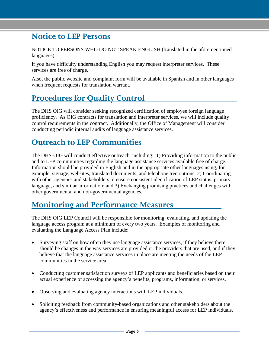#### **Notice to LEP Persons**

NOTICE TO PERSONS WHO DO NOT SPEAK ENGLISH (translated in the aforementioned languages)

If you have difficulty understanding English you may request interpreter services. These services are free of charge.

Also, the public website and complaint form will be available in Spanish and in other languages when frequent requests for translation warrant.

## <span id="page-5-0"></span>**Procedures for Quality Control**

The DHS OIG will consider seeking recognized certification of employee foreign language proficiency. As OIG contracts for translation and interpreter services, we will include quality control requirements in the contract. Additionally, the Office of Management will consider conducting periodic internal audits of language assistance services.

#### <span id="page-5-1"></span>**Outreach to LEP Communities**

The DHS-OIG will conduct effective outreach, including: 1) Providing information to the public and to LEP communities regarding the language assistance services available free of charge. Information should be provided in English and in the appropriate other languages using, for example, signage, websites, translated documents, and telephone tree options; 2) Coordinating with other agencies and stakeholders to ensure consistent identification of LEP status, primary language, and similar information; and 3) Exchanging promising practices and challenges with other governmental and non-governmental agencies.

#### <span id="page-5-2"></span>**Monitoring and Performance Measures**

The DHS OIG LEP Council will be responsible for monitoring, evaluating, and updating the language access program at a minimum of every two years. Examples of monitoring and evaluating the Language Access Plan include:

- Surveying staff on how often they use language assistance services, if they believe there should be changes in the way services are provided or the providers that are used, and if they believe that the language assistance services in place are meeting the needs of the LEP communities in the service area.
- Conducting customer satisfaction surveys of LEP applicants and beneficiaries based on their actual experience of accessing the agency's benefits, programs, information, or services.
- Observing and evaluating agency interactions with LEP individuals.
- Soliciting feedback from community-based organizations and other stakeholders about the agency's effectiveness and performance in ensuring meaningful access for LEP individuals.